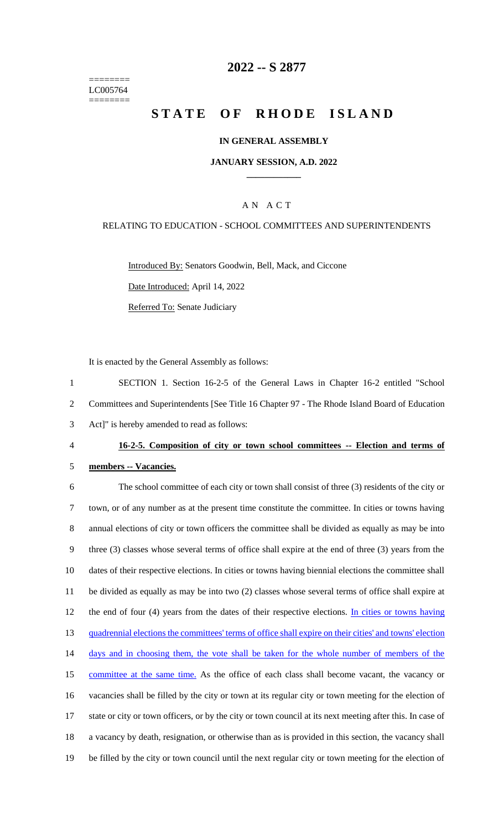======== LC005764 ========

## **2022 -- S 2877**

# **STATE OF RHODE ISLAND**

#### **IN GENERAL ASSEMBLY**

#### **JANUARY SESSION, A.D. 2022 \_\_\_\_\_\_\_\_\_\_\_\_**

### A N A C T

#### RELATING TO EDUCATION - SCHOOL COMMITTEES AND SUPERINTENDENTS

Introduced By: Senators Goodwin, Bell, Mack, and Ciccone Date Introduced: April 14, 2022

Referred To: Senate Judiciary

It is enacted by the General Assembly as follows:

1 SECTION 1. Section 16-2-5 of the General Laws in Chapter 16-2 entitled "School 2 Committees and Superintendents [See Title 16 Chapter 97 - The Rhode Island Board of Education 3 Act]" is hereby amended to read as follows:

#### 4 **16-2-5. Composition of city or town school committees -- Election and terms of**

#### 5 **members -- Vacancies.**

 The school committee of each city or town shall consist of three (3) residents of the city or town, or of any number as at the present time constitute the committee. In cities or towns having annual elections of city or town officers the committee shall be divided as equally as may be into three (3) classes whose several terms of office shall expire at the end of three (3) years from the dates of their respective elections. In cities or towns having biennial elections the committee shall be divided as equally as may be into two (2) classes whose several terms of office shall expire at 12 the end of four (4) years from the dates of their respective elections. In cities or towns having quadrennial elections the committees' terms of office shall expire on their cities' and towns' election 14 days and in choosing them, the vote shall be taken for the whole number of members of the 15 committee at the same time. As the office of each class shall become vacant, the vacancy or vacancies shall be filled by the city or town at its regular city or town meeting for the election of state or city or town officers, or by the city or town council at its next meeting after this. In case of a vacancy by death, resignation, or otherwise than as is provided in this section, the vacancy shall be filled by the city or town council until the next regular city or town meeting for the election of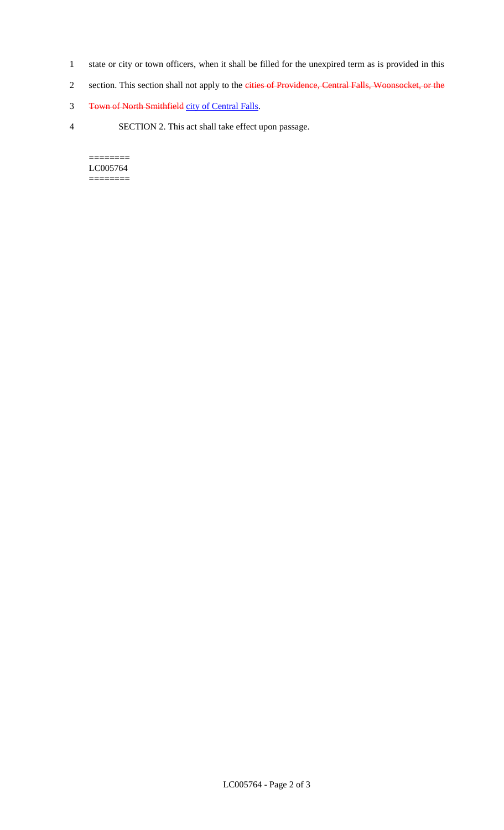- 1 state or city or town officers, when it shall be filled for the unexpired term as is provided in this
- 2 section. This section shall not apply to the eities of Providence, Central Falls, Woonsocket, or the
- 3 Town of North Smithfield city of Central Falls.
- 4 SECTION 2. This act shall take effect upon passage.

======== LC005764 ========